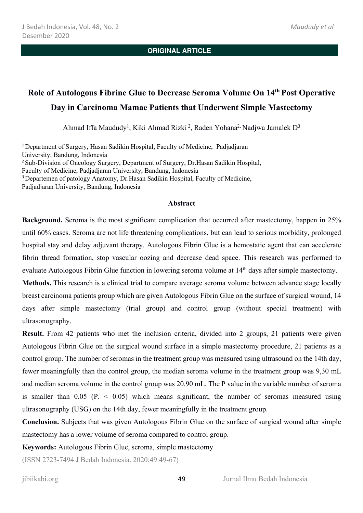# **Role of Autologous Fibrine Glue to Decrease Seroma Volume On 14th Post Operative Day in Carcinoma Mamae Patients that Underwent Simple Mastectomy**

Ahmad Iffa Maududy<sup>1</sup>, Kiki Ahmad Rizki<sup>2</sup>, Raden Yohana<sup>2,</sup> Nadjwa Jamalek D<sup>3</sup>

*<sup>1</sup>*Department of Surgery, Hasan Sadikin Hospital, Faculty of Medicine, Padjadjaran University, Bandung, Indonesia <sup>2</sup> Sub-Division of Oncology Surgery, Department of Surgery, Dr.Hasan Sadikin Hospital, Faculty of Medicine, Padjadjaran University, Bandung, Indonesia *<sup>3</sup>*Departemen of patology Anatomy, Dr.Hasan Sadikin Hospital, Faculty of Medicine, Padjadjaran University, Bandung, Indonesia

#### **Abstract**

**Background.** Seroma is the most significant complication that occurred after mastectomy, happen in 25% until 60% cases. Seroma are not life threatening complications, but can lead to serious morbidity, prolonged hospital stay and delay adjuvant therapy. Autologous Fibrin Glue is a hemostatic agent that can accelerate fibrin thread formation, stop vascular oozing and decrease dead space. This research was performed to evaluate Autologous Fibrin Glue function in lowering seroma volume at 14th days after simple mastectomy.

**Methods.** This research is a clinical trial to compare average seroma volume between advance stage locally breast carcinoma patients group which are given Autologous Fibrin Glue on the surface of surgical wound, 14 days after simple mastectomy (trial group) and control group (without special treatment) with ultrasonography.

**Result.** From 42 patients who met the inclusion criteria, divided into 2 groups, 21 patients were given Autologous Fibrin Glue on the surgical wound surface in a simple mastectomy procedure, 21 patients as a control group. The number of seromas in the treatment group was measured using ultrasound on the 14th day, fewer meaningfully than the control group, the median seroma volume in the treatment group was 9,30 mL and median seroma volume in the control group was 20.90 mL. The P value in the variable number of seroma is smaller than  $0.05$  (P.  $\leq 0.05$ ) which means significant, the number of seromas measured using ultrasonography (USG) on the 14th day, fewer meaningfully in the treatment group.

**Conclusion.** Subjects that was given Autologous Fibrin Glue on the surface of surgical wound after simple mastectomy has a lower volume of seroma compared to control group.

**Keywords:** Autologous Fibrin Glue, seroma, simple mastectomy

(ISSN 2723-7494 J Bedah Indonesia. 2020;49:49-67)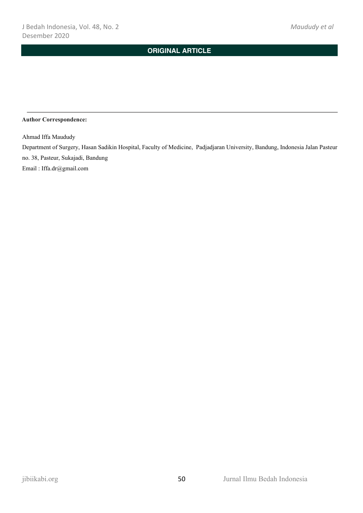#### **Author Correspondence:**

Ahmad Iffa Maududy

Department of Surgery, Hasan Sadikin Hospital, Faculty of Medicine, Padjadjaran University, Bandung, Indonesia Jalan Pasteur no. 38, Pasteur, Sukajadi, Bandung

Email : Iffa.dr@gmail.com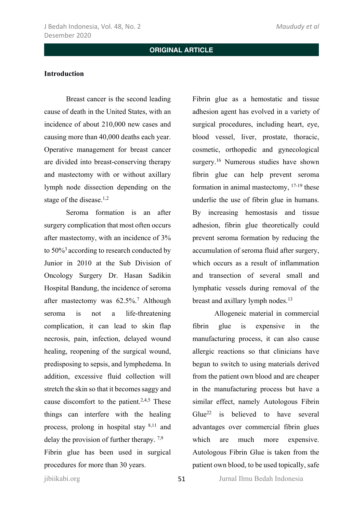#### **Introduction**

Breast cancer is the second leading cause of death in the United States, with an incidence of about 210,000 new cases and causing more than 40,000 deaths each year. Operative management for breast cancer are divided into breast-conserving therapy and mastectomy with or without axillary lymph node dissection depending on the stage of the disease.<sup>1,2</sup>

Seroma formation is an after surgery complication that most often occurs after mastectomy, with an incidence of 3% to 50%3 according to research conducted by Junior in 2010 at the Sub Division of Oncology Surgery Dr. Hasan Sadikin Hospital Bandung, the incidence of seroma after mastectomy was 62.5%. <sup>7</sup> Although seroma is not a life-threatening complication, it can lead to skin flap necrosis, pain, infection, delayed wound healing, reopening of the surgical wound, predisposing to sepsis, and lymphedema. In addition, excessive fluid collection will stretch the skin so that it becomes saggy and cause discomfort to the patient.<sup>2,4,5</sup> These things can interfere with the healing process, prolong in hospital stay  $8,11$  and delay the provision of further therapy. 7,9 Fibrin glue has been used in surgical procedures for more than 30 years.

Fibrin glue as a hemostatic and tissue adhesion agent has evolved in a variety of surgical procedures, including heart, eye, blood vessel, liver, prostate, thoracic, cosmetic, orthopedic and gynecological surgery.<sup>16</sup> Numerous studies have shown fibrin glue can help prevent seroma formation in animal mastectomy, 17-19 these underlie the use of fibrin glue in humans. By increasing hemostasis and tissue adhesion, fibrin glue theoretically could prevent seroma formation by reducing the accumulation of seroma fluid after surgery, which occurs as a result of inflammation and transection of several small and lymphatic vessels during removal of the breast and axillary lymph nodes.<sup>13</sup>

Allogeneic material in commercial fibrin glue is expensive in the manufacturing process, it can also cause allergic reactions so that clinicians have begun to switch to using materials derived from the patient own blood and are cheaper in the manufacturing process but have a similar effect, namely Autologous Fibrin Glue<sup>22</sup> is believed to have several advantages over commercial fibrin glues which are much more expensive. Autologous Fibrin Glue is taken from the patient own blood, to be used topically, safe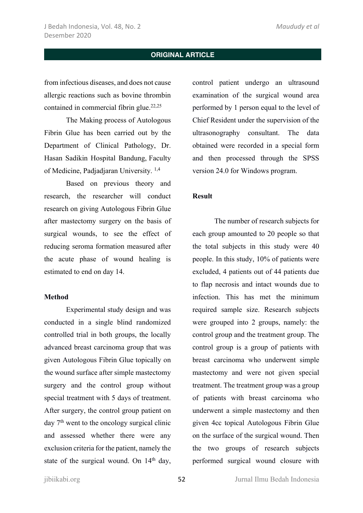from infectious diseases, and does not cause allergic reactions such as bovine thrombin contained in commercial fibrin glue.<sup>22,25</sup>

The Making process of Autologous Fibrin Glue has been carried out by the Department of Clinical Pathology, Dr. Hasan Sadikin Hospital Bandung, Faculty of Medicine, Padjadjaran University. 1,4

Based on previous theory and research, the researcher will conduct research on giving Autologous Fibrin Glue after mastectomy surgery on the basis of surgical wounds, to see the effect of reducing seroma formation measured after the acute phase of wound healing is estimated to end on day 14.

### **Method**

Experimental study design and was conducted in a single blind randomized controlled trial in both groups, the locally advanced breast carcinoma group that was given Autologous Fibrin Glue topically on the wound surface after simple mastectomy surgery and the control group without special treatment with 5 days of treatment. After surgery, the control group patient on day 7th went to the oncology surgical clinic and assessed whether there were any exclusion criteria for the patient, namely the state of the surgical wound. On 14<sup>th</sup> day,

control patient undergo an ultrasound examination of the surgical wound area performed by 1 person equal to the level of Chief Resident under the supervision of the ultrasonography consultant. The data obtained were recorded in a special form and then processed through the SPSS version 24.0 for Windows program.

#### **Result**

The number of research subjects for each group amounted to 20 people so that the total subjects in this study were 40 people. In this study, 10% of patients were excluded, 4 patients out of 44 patients due to flap necrosis and intact wounds due to infection. This has met the minimum required sample size. Research subjects were grouped into 2 groups, namely: the control group and the treatment group. The control group is a group of patients with breast carcinoma who underwent simple mastectomy and were not given special treatment. The treatment group was a group of patients with breast carcinoma who underwent a simple mastectomy and then given 4cc topical Autologous Fibrin Glue on the surface of the surgical wound. Then the two groups of research subjects performed surgical wound closure with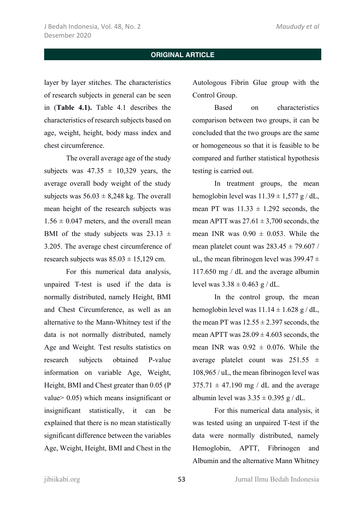layer by layer stitches. The characteristics of research subjects in general can be seen in (**Table 4.1).** Table 4.1 describes the characteristics of research subjects based on age, weight, height, body mass index and chest circumference.

The overall average age of the study subjects was  $47.35 \pm 10.329$  years, the average overall body weight of the study subjects was  $56.03 \pm 8.248$  kg. The overall mean height of the research subjects was  $1.56 \pm 0.047$  meters, and the overall mean BMI of the study subjects was  $23.13 \pm$ 3.205. The average chest circumference of research subjects was  $85.03 \pm 15,129$  cm.

For this numerical data analysis, unpaired T-test is used if the data is normally distributed, namely Height, BMI and Chest Circumference, as well as an alternative to the Mann-Whitney test if the data is not normally distributed, namely Age and Weight. Test results statistics on research subjects obtained P-value information on variable Age, Weight, Height, BMI and Chest greater than 0.05 (P value> 0.05) which means insignificant or insignificant statistically, it can be explained that there is no mean statistically significant difference between the variables Age, Weight, Height, BMI and Chest in the

Autologous Fibrin Glue group with the Control Group.

Based on characteristics comparison between two groups, it can be concluded that the two groups are the same or homogeneous so that it is feasible to be compared and further statistical hypothesis testing is carried out.

In treatment groups, the mean hemoglobin level was  $11.39 \pm 1.577$  g / dL, mean PT was  $11.33 \pm 1.292$  seconds, the mean APTT was  $27.61 \pm 3,700$  seconds, the mean INR was  $0.90 \pm 0.053$ . While the mean platelet count was  $283.45 \pm 79.607$  / uL, the mean fibrinogen level was  $399.47 \pm$ 117.650 mg / dL and the average albumin level was  $3.38 \pm 0.463$  g / dL.

In the control group, the mean hemoglobin level was  $11.14 \pm 1.628$  g / dL, the mean PT was  $12.55 \pm 2.397$  seconds, the mean APTT was  $28.09 \pm 4.603$  seconds, the mean INR was  $0.92 \pm 0.076$ . While the average platelet count was  $251.55 \pm$ 108,965 / uL, the mean fibrinogen level was  $375.71 \pm 47.190$  mg / dL and the average albumin level was  $3.35 \pm 0.395$  g / dL.

For this numerical data analysis, it was tested using an unpaired T-test if the data were normally distributed, namely Hemoglobin, APTT, Fibrinogen and Albumin and the alternative Mann Whitney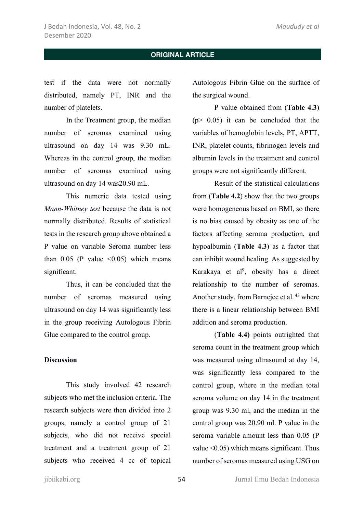test if the data were not normally distributed, namely PT, INR and the number of platelets.

In the Treatment group, the median number of seromas examined using ultrasound on day 14 was 9.30 mL. Whereas in the control group, the median number of seromas examined using ultrasound on day 14 was20.90 mL.

This numeric data tested using *Mann-Whitney test* because the data is not normally distributed. Results of statistical tests in the research group above obtained a P value on variable Seroma number less than  $0.05$  (P value  $\leq 0.05$ ) which means significant.

Thus, it can be concluded that the number of seromas measured using ultrasound on day 14 was significantly less in the group receiving Autologous Fibrin Glue compared to the control group.

### **Discussion**

This study involved 42 research subjects who met the inclusion criteria. The research subjects were then divided into 2 groups, namely a control group of 21 subjects, who did not receive special treatment and a treatment group of 21 subjects who received 4 cc of topical

Autologous Fibrin Glue on the surface of the surgical wound.

P value obtained from (**Table 4.3**)  $(p > 0.05)$  it can be concluded that the variables of hemoglobin levels, PT, APTT, INR, platelet counts, fibrinogen levels and albumin levels in the treatment and control groups were not significantly different.

Result of the statistical calculations from (**Table 4.2**) show that the two groups were homogeneous based on BMI, so there is no bias caused by obesity as one of the factors affecting seroma production, and hypoalbumin (**Table 4.3**) as a factor that can inhibit wound healing. As suggested by Karakaya et al9, obesity has a direct relationship to the number of seromas. Another study, from Barnejee et al. <sup>43</sup> where there is a linear relationship between BMI addition and seroma production.

(**Table 4.4)** points outrighted that seroma count in the treatment group which was measured using ultrasound at day 14, was significantly less compared to the control group, where in the median total seroma volume on day 14 in the treatment group was 9.30 ml, and the median in the control group was 20.90 ml. P value in the seroma variable amount less than 0.05 (P value <0.05) which means significant. Thus number of seromas measured using USG on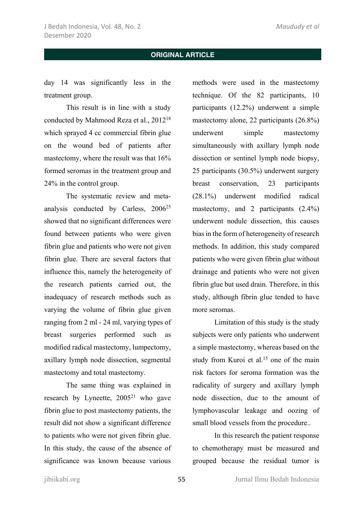day 14 was significantly less in the treatment group.

This result is in line with a study conducted by Mahmood Reza et al., 201218 which sprayed 4 cc commercial fibrin glue on the wound bed of patients after mastectomy, where the result was that 16% formed seromas in the treatment group and 24% in the control group.

The systematic review and metaanalysis conducted by Carless, 200625 showed that no significant differences were found between patients who were given fibrin glue and patients who were not given fibrin glue. There are several factors that influence this, namely the heterogeneity of the research patients carried out, the inadequacy of research methods such as varying the volume of fibrin glue given ranging from 2 ml - 24 ml, varying types of breast surgeries performed such as modified radical mastectomy, lumpectomy, axillary lymph node dissection, segmental mastectomy and total mastectomy.

The same thing was explained in research by Lyneette, 200521 who gave fibrin glue to post mastectomy patients, the result did not show a significant difference to patients who were not given fibrin glue. In this study, the cause of the absence of significance was known because various

methods were used in the mastectomy technique. Of the 82 participants, 10 participants (12.2%) underwent a simple mastectomy alone, 22 participants (26.8%) underwent simple mastectomy simultaneously with axillary lymph node dissection or sentinel lymph node biopsy, 25 participants (30.5%) underwent surgery breast conservation, 23 participants (28.1%) underwent modified radical mastectomy, and 2 participants (2.4%) underwent nodule dissection, this causes bias in the form of heterogeneity of research methods. In addition, this study compared patients who were given fibrin glue without drainage and patients who were not given fibrin glue but used drain. Therefore, in this study, although fibrin glue tended to have more seromas.

Limitation of this study is the study subjects were only patients who underwent a simple mastectomy, whereas based on the study from Kuroi et al.<sup>15</sup> one of the main risk factors for seroma formation was the radicality of surgery and axillary lymph node dissection, due to the amount of lymphovascular leakage and oozing of small blood vessels from the procedure..

In this research the patient response to chemotherapy must be measured and grouped because the residual tumor is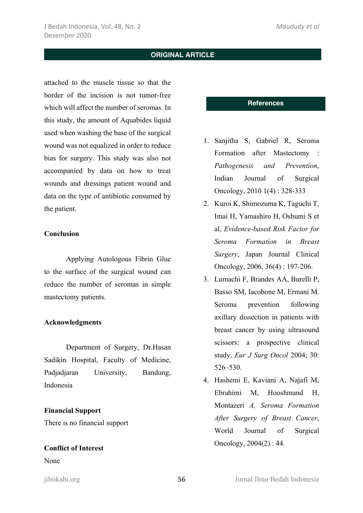attached to the muscle tissue so that the border of the incision is not tumor-free which will affect the number of seromas. In this study, the amount of Aquabides liquid used when washing the base of the surgical wound was not equalized in order to reduce bias for surgery. This study was also not accompanied by data on how to treat wounds and dressings patient wound and data on the type of antibiotic consumed by the patient.

### **Conclusion**

Applying Autologous Fibrin Glue to the surface of the surgical wound can reduce the number of seromas in simple mastectomy patients.

### **Acknowledgments**

Department of Surgery, Dr.Hasan Sadikin Hospital, Faculty of Medicine, Padjadjaran University, Bandung, Indonesia

### **Financial Support**

There is no financial support

### **Conflict of Interest**

None

### **References**

- 1. Sanjitha S, Gabriel R, Seroma Formation after Mastectomy : *Pathogenesis and Prevention*, Indian Journal of Surgical Oncology, 2010 1(4) : 328-333
- 2. Kuroi K, Shimozuma K, Taguchi T, Imai H, Yamashiro H, Oshumi S et al, *Evidence-based Risk Factor for Seroma Formation in Breast Surgery*, Japan Journal Clinical Oncology, 2006, 36(4) : 197-206.
- 3. Lumachi F, Brandes AA, Burelli P, Basso SM, Iacobone M, Ermani M. Seroma prevention following axillary dissection in patients with breast cancer by using ultrasound scissors: a prospective clinical study. *Eur J Surg Oncol* 2004; 30: 526–530.
- 4. Hashemi E, Kaviani A, Najafi M, Ebrahimi M, Hooshmand H, Montazeri *A, Seroma Formation After Surgery of Breast Cancer*, World Journal of Surgical Oncology, 2004(2) : 44.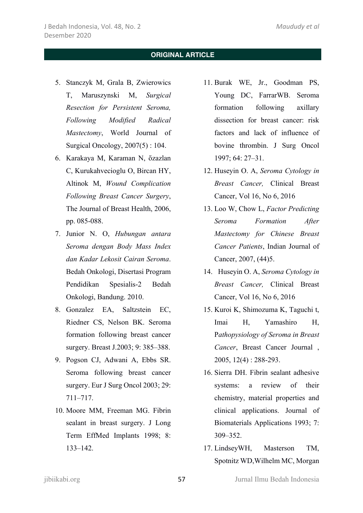- 5. Stanczyk M, Grala B, Zwierowics T, Maruszynski M, *Surgical Resection for Persistent Seroma, Following Modified Radical Mastectomy*, World Journal of Surgical Oncology, 2007(5) : 104.
- 6. Karakaya M, Karaman N, ὅzazlan C, Kurukahvecioglu O, Bircan HY, Altinok M, *Wound Complication Following Breast Cancer Surgery*, The Journal of Breast Health, 2006, pp. 085-088.
- 7. Junior N. O, *Hubungan antara Seroma dengan Body Mass Index dan Kadar Lekosit Cairan Seroma*. Bedah Onkologi, Disertasi Program Pendidikan Spesialis-2 Bedah Onkologi, Bandung. 2010.
- 8. Gonzalez EA, Saltzstein EC, Riedner CS, Nelson BK. Seroma formation following breast cancer surgery. Breast J.2003; 9: 385–388.
- 9. Pogson CJ, Adwani A, Ebbs SR. Seroma following breast cancer surgery. Eur J Surg Oncol 2003; 29: 711–717.
- 10. Moore MM, Freeman MG. Fibrin sealant in breast surgery. J Long Term EffMed Implants 1998; 8: 133–142.
- 11. Burak WE, Jr., Goodman PS, Young DC, FarrarWB. Seroma formation following axillary dissection for breast cancer: risk factors and lack of influence of bovine thrombin. J Surg Oncol 1997; 64: 27–31.
- 12. Huseyin O. A, *Seroma Cytology in Breast Cancer,* Clinical Breast Cancer, Vol 16, No 6, 2016
- 13. Loo W, Chow L, *Factor Predicting Seroma Formation After Mastectomy for Chinese Breast Cancer Patients*, Indian Journal of Cancer, 2007, (44)5.
- 14. Huseyin O. A, *Seroma Cytology in Breast Cancer,* Clinical Breast Cancer, Vol 16, No 6, 2016
- 15. Kuroi K, Shimozuma K, Taguchi t, Imai H, Yamashiro H, P*athopysiology of Seroma in Breast Cancer*, Breast Cancer Journal , 2005, 12(4) : 288-293.
- 16. Sierra DH. Fibrin sealant adhesive systems: a review of their chemistry, material properties and clinical applications. Journal of Biomaterials Applications 1993; 7: 309–352.
- 17. LindseyWH, Masterson TM, Spotnitz WD,Wilhelm MC, Morgan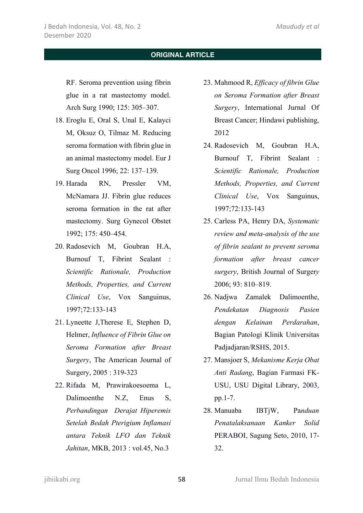RF. Seroma prevention using fibrin glue in a rat mastectomy model. Arch Surg 1990; 125: 305–307.

- 18. Eroglu E, Oral S, Unal E, Kalayci M, Oksuz O, Tilmaz M. Reducing seroma formation with fibrin glue in an animal mastectomy model. Eur J Surg Oncol 1996; 22: 137–139.
- 19. Harada RN, Pressler VM, McNamara JJ. Fibrin glue reduces seroma formation in the rat after mastectomy. Surg Gynecol Obstet 1992; 175: 450–454.
- 20. Radosevich M, Goubran H.A, Burnouf T, Fibrint Sealant : *Scientific Rationale, Production Methods, Properties, and Current Clinical Use*, Vox Sanguinus, 1997;72:133-143
- 21. Lyneette J,Therese E, Stephen D, Helmer, *Influence of Fibrin Glue on Seroma Formation after Breast Surgery*, The American Journal of Surgery, 2005 : 319-323
- 22. Rifada M, Prawirakoesoema L, Dalimoenthe N.Z, Enus S, *Perbandingan Derajat Hiperemis Setelah Bedah Pterigium Inflamasi antara Teknik LFO dan Teknik Jahitan*, MKB, 2013 : vol.45, No.3
- 23. Mahmood R, *Efficacy of fibrin Glue on Seroma Formation after Breast Surgery*, International Jurnal Of Breast Cancer; Hindawi publishing, 2012
- 24. Radosevich M, Goubran H.A, Burnouf T, Fibrint Sealant : *Scientific Rationale, Production Methods, Properties, and Current Clinical Use*, Vox Sanguinus, 1997;72:133-143
- 25. Carless PA, Henry DA, *Systematic review and meta-analysis of the use of fibrin sealant to prevent seroma formation after breast cancer surgery*, British Journal of Surger*y*  2006; 93: 810–819.
- 26. Nadjwa Zamalek Dalimoenthe, *Pendekatan Diagnosis Pasien dengan Kelainan Perdarahan*, Bagian Patologi Klinik Universitas Padjadjaran/RSHS, 2015.
- 27. Mansjoer S, *Mekanisme Kerja Obat Anti Radang*, Bagian Farmasi FK-USU, USU Digital Library, 2003, pp.1-7.
- 28. Manuaba IBTjW, Pa*nduan Penatalaksanaan Kanker Solid*  PERABOI, Sagung Seto, 2010, 17- 32.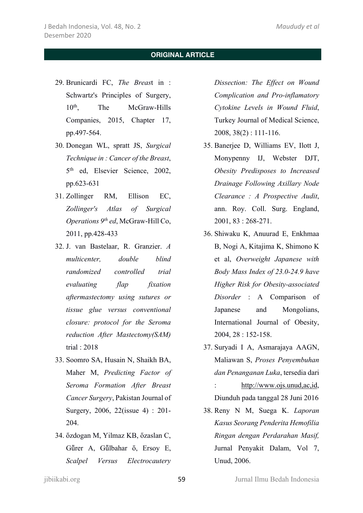- 29. Brunicardi FC, *The Breas*t in : Schwartz's Principles of Surgery, 10th, The McGraw-Hills Companies, 2015, Chapter 17, pp.497-564.
- 30. Donegan WL, spratt JS, *Surgical Technique in : Cancer of the Breast*, 5th ed, Elsevier Science, 2002, pp.623-631
- 31. Zollinger RM, Ellison EC, *Zollinger's Atlas of Surgical Operations 9th ed*, McGraw-Hill Co, 2011, pp.428-433
- 32. J. van Bastelaar, R. Granzier. *A multicenter, double blind randomized controlled trial evaluating flap fixation aftermastectomy using sutures or tissue glue versus conventional closure: protocol for the Seroma reduction After Mastectomy(SAM)* trial : 2018
- 33. Soomro SA, Husain N, Shaikh BA, Maher M, *Predicting Factor of Seroma Formation After Breast Cancer Surgery*, Pakistan Journal of Surgery, 2006, 22(issue 4) : 201- 204.
- 34. ὅzdogan M, Yilmaz KB, ὅzaslan C, Gürer A, Gülbahar ő, Ersoy E, *Scalpel Versus Electrocautery*

*Dissection: The Effect on Wound Complication and Pro-inflamatory Cytokine Levels in Wound Fluid*, Turkey Journal of Medical Science, 2008, 38(2) : 111-116.

- 35. Banerjee D, Williams EV, Ilott J, Monypenny IJ, Webster DJT, *Obesity Predisposes to Increased Drainage Following Axillary Node Clearance : A Prospective Audit*, ann. Roy. Coll. Surg. England, 2001, 83 : 268-271.
- 36. Shiwaku K, Anuurad E, Enkhmaa B, Nogi A, Kitajima K, Shimono K et al, *Overweight Japanese with Body Mass Index of 23.0-24.9 have Higher Risk for Obesity-associated Disorder* : A Comparison of Japanese and Mongolians, International Journal of Obesity, 2004, 28 : 152-158.
- 37. Suryadi I A, Asmarajaya AAGN, Maliawan S, *Proses Penyembuhan dan Penanganan Luka*, tersedia dari : http://www.ojs.unud,ac,id, Diunduh pada tanggal 28 Juni 2016
- 38. Reny N M, Suega K. *Laporan Kasus Seorang Penderita Hemofilia Ringan dengan Perdarahan Masif,* Jurnal Penyakit Dalam, Vol 7, Unud, 2006.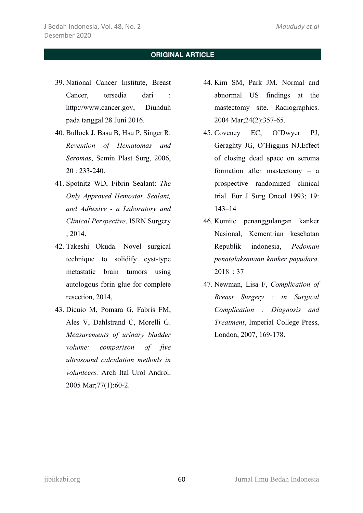- 39. National Cancer Institute, Breast Cancer, tersedia dari : http://www.cancer.gov, Diunduh pada tanggal 28 Juni 2016.
- 40. Bullock J, Basu B, Hsu P, Singer R. *Revention of Hematomas and Seromas*, Semin Plast Surg, 2006, 20 : 233-240.
- 41. Spotnitz WD, Fibrin Sealant: *The Only Approved Hemostat, Sealant, and Adhesive - a Laboratory and Clinical Perspective*, ISRN Surgery ; 2014.
- 42. Takeshi Okuda. Novel surgical technique to solidify cyst-type metastatic brain tumors using autologous fbrin glue for complete resection, 2014,
- 43. Dicuio M, Pomara G, Fabris FM, Ales V, Dahlstrand C, Morelli G. *Measurements of urinary bladder volume: comparison of five ultrasound calculation methods in volunteers.* Arch Ital Urol Androl. 2005 Mar;77(1):60-2.
- 44. Kim SM, Park JM. Normal and abnormal US findings at the mastectomy site. Radiographics. 2004 Mar;24(2):357-65.
- 45. Coveney EC, O'Dwyer PJ, Geraghty JG, O'Higgins NJ.Effect of closing dead space on seroma formation after mastectomy – a prospective randomized clinical trial. Eur J Surg Oncol 1993; 19: 143–14
- 46. Komite penanggulangan kanker Nasional, Kementrian kesehatan Republik indonesia, *Pedoman penatalaksanaan kanker payudara*. 2018 : 37
- 47. Newman, Lisa F, *Complication of Breast Surgery : in Surgical Complication : Diagnosis and Treatment*, Imperial College Press, London, 2007, 169-178.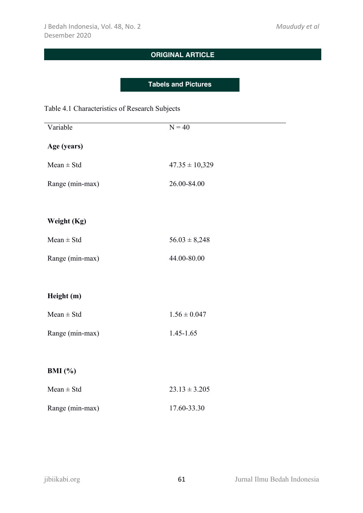### **Tabels and Pictures**

### Table 4.1 Characteristics of Research Subjects

| Variable        | $N = 40$           |
|-----------------|--------------------|
| Age (years)     |                    |
| $Mean \pm Std$  | $47.35 \pm 10,329$ |
| Range (min-max) | 26.00-84.00        |
|                 |                    |
| Weight (Kg)     |                    |
| $Mean \pm Std$  | $56.03 \pm 8,248$  |
| Range (min-max) | 44.00-80.00        |
|                 |                    |
| Height (m)      |                    |
| $Mean \pm Std$  | $1.56 \pm 0.047$   |
| Range (min-max) | $1.45 - 1.65$      |
|                 |                    |
| BMI $(\% )$     |                    |
| $Mean \pm Std$  | $23.13 \pm 3.205$  |
| Range (min-max) | 17.60-33.30        |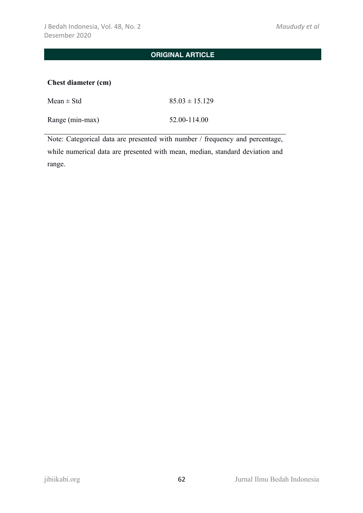### **Chest diameter (cm)**

| Mean $\pm$ Std  | $85.03 \pm 15.129$ |
|-----------------|--------------------|
| Range (min-max) | 52.00-114.00       |

Note: Categorical data are presented with number / frequency and percentage, while numerical data are presented with mean, median, standard deviation and range.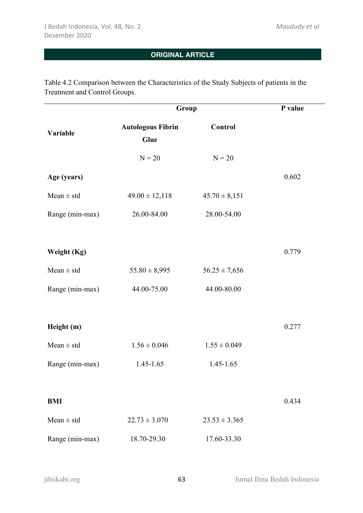Table 4.2 Comparison between the Characteristics of the Study Subjects of patients in the Treatment and Control Groups.

|                 | Group                            |                   | P value |
|-----------------|----------------------------------|-------------------|---------|
| Variable        | <b>Autologous Fibrin</b><br>Glue | Control           |         |
|                 | $N = 20$                         | $N = 20$          |         |
| Age (years)     |                                  |                   | 0.602   |
| $Mean \pm std$  | $49.00 \pm 12,118$               | $45.70 \pm 8,151$ |         |
| Range (min-max) | 26.00-84.00                      | 28.00-54.00       |         |
|                 |                                  |                   |         |
| Weight (Kg)     |                                  |                   | 0.779   |
| Mean $\pm$ std  | $55.80 \pm 8,995$                | $56.25 \pm 7,656$ |         |
| Range (min-max) | 44.00-75.00                      | 44.00-80.00       |         |
|                 |                                  |                   |         |
| Height (m)      |                                  |                   | 0.277   |
| $Mean \pm std$  | $1.56 \pm 0.046$                 | $1.55 \pm 0.049$  |         |
| Range (min-max) | $1.45 - 1.65$                    | 1.45-1.65         |         |
|                 |                                  |                   |         |
| <b>BMI</b>      |                                  |                   | 0.434   |
| $Mean \pm std$  | $22.73 \pm 3.070$                | $23.53 \pm 3.365$ |         |
| Range (min-max) | 18.70-29.30                      | 17.60-33.30       |         |
|                 |                                  |                   |         |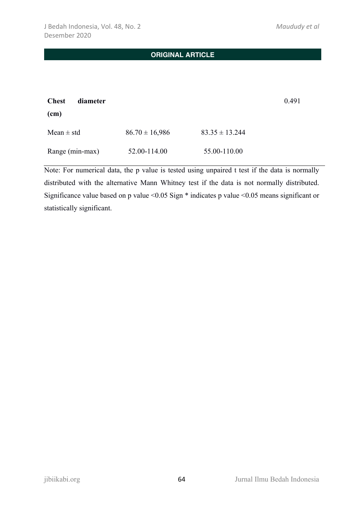| <b>Chest</b><br>diameter<br>(cm) |                    |                    | 0.491 |
|----------------------------------|--------------------|--------------------|-------|
| Mean $\pm$ std                   | $86.70 \pm 16,986$ | $83.35 \pm 13.244$ |       |
| Range (min-max)                  | 52.00-114.00       | 55.00-110.00       |       |

Note: For numerical data, the p value is tested using unpaired t test if the data is normally distributed with the alternative Mann Whitney test if the data is not normally distributed. Significance value based on p value <0.05 Sign \* indicates p value <0.05 means significant or statistically significant.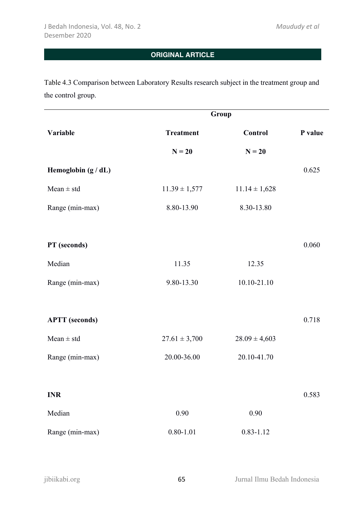Table 4.3 Comparison between Laboratory Results research subject in the treatment group and the control group.

|                       | Group             |                   |         |  |
|-----------------------|-------------------|-------------------|---------|--|
| Variable              | <b>Treatment</b>  | Control           | P value |  |
|                       | $N = 20$          | $N = 20$          |         |  |
| Hemoglobin (g / dL)   |                   |                   | 0.625   |  |
| $Mean \pm std$        | $11.39 \pm 1,577$ | $11.14 \pm 1,628$ |         |  |
| Range (min-max)       | 8.80-13.90        | 8.30-13.80        |         |  |
|                       |                   |                   |         |  |
| PT (seconds)          |                   |                   | 0.060   |  |
| Median                | 11.35             | 12.35             |         |  |
| Range (min-max)       | 9.80-13.30        | 10.10-21.10       |         |  |
|                       |                   |                   |         |  |
| <b>APTT</b> (seconds) |                   |                   | 0.718   |  |
| $Mean \pm std$        | $27.61 \pm 3,700$ | $28.09 \pm 4,603$ |         |  |
| Range (min-max)       | 20.00-36.00       | 20.10-41.70       |         |  |
|                       |                   |                   |         |  |
| <b>INR</b>            |                   |                   | 0.583   |  |
| Median                | $0.90\,$          | $0.90\,$          |         |  |
| Range (min-max)       | $0.80 - 1.01$     | $0.83 - 1.12$     |         |  |
|                       |                   |                   |         |  |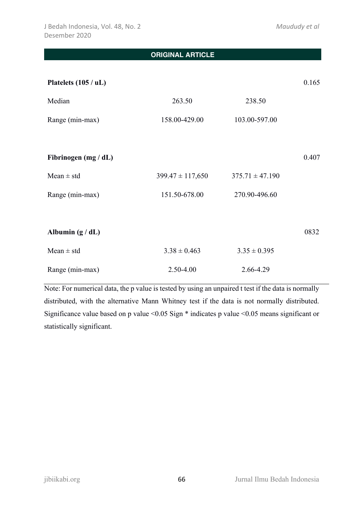| <b>ORIGINAL ARTICLE</b> |                      |                     |       |
|-------------------------|----------------------|---------------------|-------|
|                         |                      |                     |       |
| Platelets (105 / uL)    |                      |                     | 0.165 |
| Median                  | 263.50               | 238.50              |       |
| Range (min-max)         | 158.00-429.00        | 103.00-597.00       |       |
|                         |                      |                     |       |
| Fibrinogen (mg / dL)    |                      |                     | 0.407 |
| Mean $\pm$ std          | $399.47 \pm 117,650$ | $375.71 \pm 47.190$ |       |
| Range (min-max)         | 151.50-678.00        | 270.90-496.60       |       |
|                         |                      |                     |       |
| Albumin $(g/dL)$        |                      |                     | 0832  |
| Mean $\pm$ std          | $3.38 \pm 0.463$     | $3.35 \pm 0.395$    |       |
| Range (min-max)         | 2.50-4.00            | 2.66-4.29           |       |

Note: For numerical data, the p value is tested by using an unpaired t test if the data is normally distributed, with the alternative Mann Whitney test if the data is not normally distributed. Significance value based on p value <0.05 Sign \* indicates p value <0.05 means significant or statistically significant.